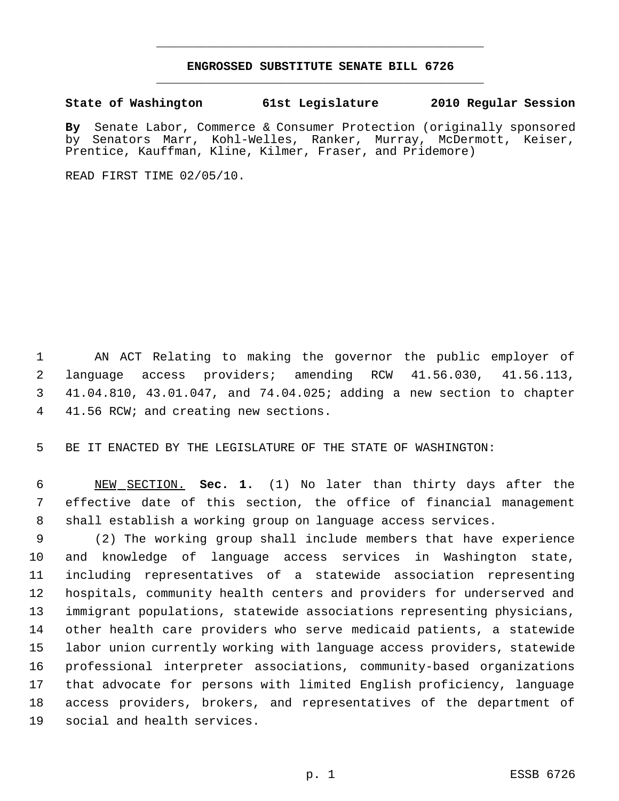## **ENGROSSED SUBSTITUTE SENATE BILL 6726** \_\_\_\_\_\_\_\_\_\_\_\_\_\_\_\_\_\_\_\_\_\_\_\_\_\_\_\_\_\_\_\_\_\_\_\_\_\_\_\_\_\_\_\_\_

\_\_\_\_\_\_\_\_\_\_\_\_\_\_\_\_\_\_\_\_\_\_\_\_\_\_\_\_\_\_\_\_\_\_\_\_\_\_\_\_\_\_\_\_\_

**State of Washington 61st Legislature 2010 Regular Session**

**By** Senate Labor, Commerce & Consumer Protection (originally sponsored by Senators Marr, Kohl-Welles, Ranker, Murray, McDermott, Keiser, Prentice, Kauffman, Kline, Kilmer, Fraser, and Pridemore)

READ FIRST TIME 02/05/10.

 AN ACT Relating to making the governor the public employer of language access providers; amending RCW 41.56.030, 41.56.113, 41.04.810, 43.01.047, and 74.04.025; adding a new section to chapter 41.56 RCW; and creating new sections.

BE IT ENACTED BY THE LEGISLATURE OF THE STATE OF WASHINGTON:

 NEW SECTION. **Sec. 1.** (1) No later than thirty days after the effective date of this section, the office of financial management shall establish a working group on language access services.

 (2) The working group shall include members that have experience and knowledge of language access services in Washington state, including representatives of a statewide association representing hospitals, community health centers and providers for underserved and immigrant populations, statewide associations representing physicians, other health care providers who serve medicaid patients, a statewide labor union currently working with language access providers, statewide professional interpreter associations, community-based organizations that advocate for persons with limited English proficiency, language access providers, brokers, and representatives of the department of social and health services.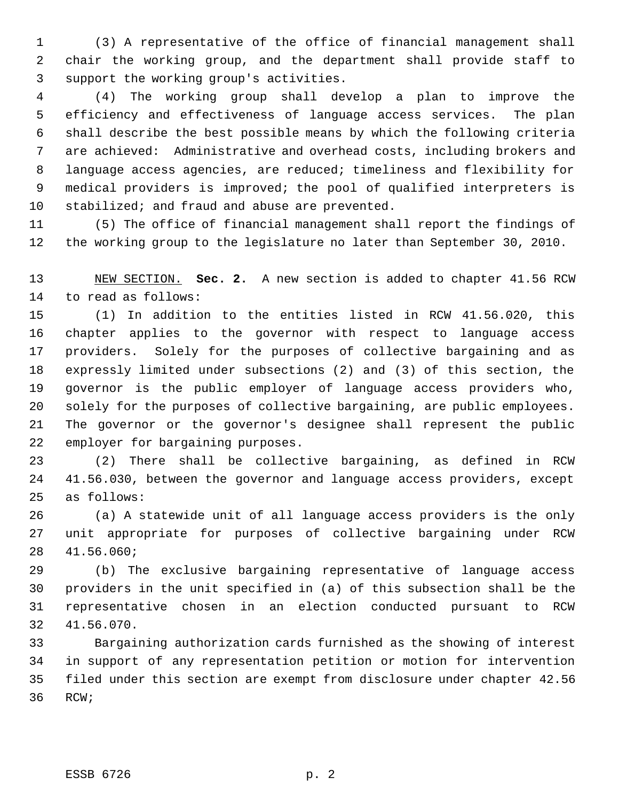(3) A representative of the office of financial management shall chair the working group, and the department shall provide staff to support the working group's activities.

 (4) The working group shall develop a plan to improve the efficiency and effectiveness of language access services. The plan shall describe the best possible means by which the following criteria are achieved: Administrative and overhead costs, including brokers and language access agencies, are reduced; timeliness and flexibility for medical providers is improved; the pool of qualified interpreters is 10 stabilized; and fraud and abuse are prevented.

 (5) The office of financial management shall report the findings of the working group to the legislature no later than September 30, 2010.

 NEW SECTION. **Sec. 2.** A new section is added to chapter 41.56 RCW to read as follows:

 (1) In addition to the entities listed in RCW 41.56.020, this chapter applies to the governor with respect to language access providers. Solely for the purposes of collective bargaining and as expressly limited under subsections (2) and (3) of this section, the governor is the public employer of language access providers who, solely for the purposes of collective bargaining, are public employees. The governor or the governor's designee shall represent the public employer for bargaining purposes.

 (2) There shall be collective bargaining, as defined in RCW 41.56.030, between the governor and language access providers, except as follows:

 (a) A statewide unit of all language access providers is the only unit appropriate for purposes of collective bargaining under RCW 41.56.060;

 (b) The exclusive bargaining representative of language access providers in the unit specified in (a) of this subsection shall be the representative chosen in an election conducted pursuant to RCW 41.56.070.

 Bargaining authorization cards furnished as the showing of interest in support of any representation petition or motion for intervention filed under this section are exempt from disclosure under chapter 42.56 RCW;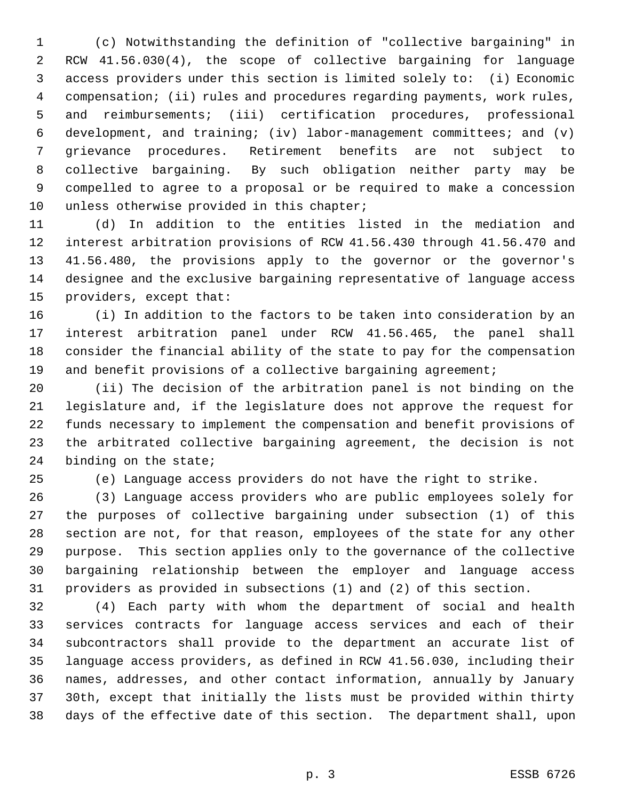(c) Notwithstanding the definition of "collective bargaining" in RCW 41.56.030(4), the scope of collective bargaining for language access providers under this section is limited solely to: (i) Economic compensation; (ii) rules and procedures regarding payments, work rules, and reimbursements; (iii) certification procedures, professional development, and training; (iv) labor-management committees; and (v) grievance procedures. Retirement benefits are not subject to collective bargaining. By such obligation neither party may be compelled to agree to a proposal or be required to make a concession 10 unless otherwise provided in this chapter;

 (d) In addition to the entities listed in the mediation and interest arbitration provisions of RCW 41.56.430 through 41.56.470 and 41.56.480, the provisions apply to the governor or the governor's designee and the exclusive bargaining representative of language access providers, except that:

 (i) In addition to the factors to be taken into consideration by an interest arbitration panel under RCW 41.56.465, the panel shall consider the financial ability of the state to pay for the compensation 19 and benefit provisions of a collective bargaining agreement;

 (ii) The decision of the arbitration panel is not binding on the legislature and, if the legislature does not approve the request for funds necessary to implement the compensation and benefit provisions of the arbitrated collective bargaining agreement, the decision is not binding on the state;

(e) Language access providers do not have the right to strike.

 (3) Language access providers who are public employees solely for the purposes of collective bargaining under subsection (1) of this section are not, for that reason, employees of the state for any other purpose. This section applies only to the governance of the collective bargaining relationship between the employer and language access providers as provided in subsections (1) and (2) of this section.

 (4) Each party with whom the department of social and health services contracts for language access services and each of their subcontractors shall provide to the department an accurate list of language access providers, as defined in RCW 41.56.030, including their names, addresses, and other contact information, annually by January 30th, except that initially the lists must be provided within thirty days of the effective date of this section. The department shall, upon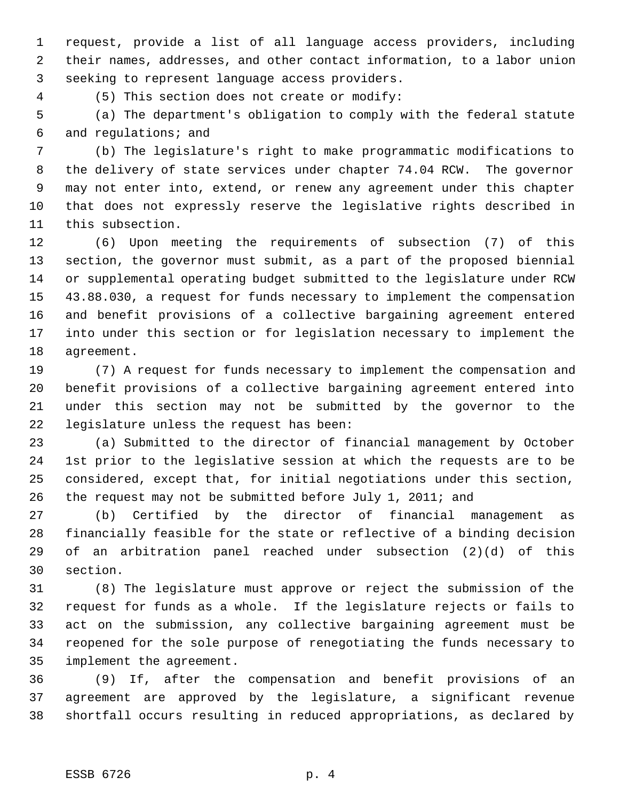request, provide a list of all language access providers, including their names, addresses, and other contact information, to a labor union seeking to represent language access providers.

(5) This section does not create or modify:

 (a) The department's obligation to comply with the federal statute and regulations; and

 (b) The legislature's right to make programmatic modifications to the delivery of state services under chapter 74.04 RCW. The governor may not enter into, extend, or renew any agreement under this chapter that does not expressly reserve the legislative rights described in this subsection.

 (6) Upon meeting the requirements of subsection (7) of this section, the governor must submit, as a part of the proposed biennial or supplemental operating budget submitted to the legislature under RCW 43.88.030, a request for funds necessary to implement the compensation and benefit provisions of a collective bargaining agreement entered into under this section or for legislation necessary to implement the agreement.

 (7) A request for funds necessary to implement the compensation and benefit provisions of a collective bargaining agreement entered into under this section may not be submitted by the governor to the legislature unless the request has been:

 (a) Submitted to the director of financial management by October 1st prior to the legislative session at which the requests are to be considered, except that, for initial negotiations under this section, the request may not be submitted before July 1, 2011; and

 (b) Certified by the director of financial management as financially feasible for the state or reflective of a binding decision of an arbitration panel reached under subsection (2)(d) of this section.

 (8) The legislature must approve or reject the submission of the request for funds as a whole. If the legislature rejects or fails to act on the submission, any collective bargaining agreement must be reopened for the sole purpose of renegotiating the funds necessary to implement the agreement.

 (9) If, after the compensation and benefit provisions of an agreement are approved by the legislature, a significant revenue shortfall occurs resulting in reduced appropriations, as declared by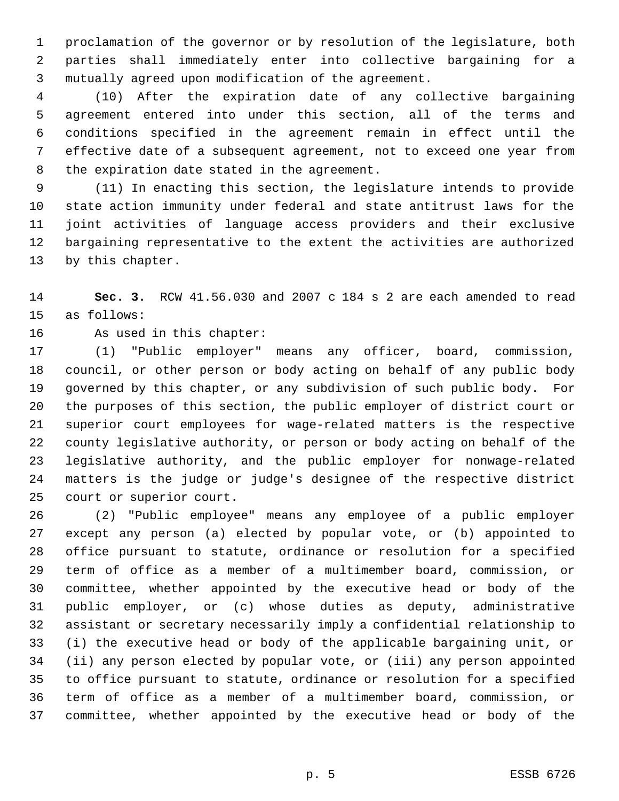proclamation of the governor or by resolution of the legislature, both parties shall immediately enter into collective bargaining for a mutually agreed upon modification of the agreement.

 (10) After the expiration date of any collective bargaining agreement entered into under this section, all of the terms and conditions specified in the agreement remain in effect until the effective date of a subsequent agreement, not to exceed one year from the expiration date stated in the agreement.

 (11) In enacting this section, the legislature intends to provide state action immunity under federal and state antitrust laws for the joint activities of language access providers and their exclusive bargaining representative to the extent the activities are authorized by this chapter.

 **Sec. 3.** RCW 41.56.030 and 2007 c 184 s 2 are each amended to read as follows:

As used in this chapter:

 (1) "Public employer" means any officer, board, commission, council, or other person or body acting on behalf of any public body governed by this chapter, or any subdivision of such public body. For the purposes of this section, the public employer of district court or superior court employees for wage-related matters is the respective county legislative authority, or person or body acting on behalf of the legislative authority, and the public employer for nonwage-related matters is the judge or judge's designee of the respective district court or superior court.

 (2) "Public employee" means any employee of a public employer except any person (a) elected by popular vote, or (b) appointed to office pursuant to statute, ordinance or resolution for a specified term of office as a member of a multimember board, commission, or committee, whether appointed by the executive head or body of the public employer, or (c) whose duties as deputy, administrative assistant or secretary necessarily imply a confidential relationship to (i) the executive head or body of the applicable bargaining unit, or (ii) any person elected by popular vote, or (iii) any person appointed to office pursuant to statute, ordinance or resolution for a specified term of office as a member of a multimember board, commission, or committee, whether appointed by the executive head or body of the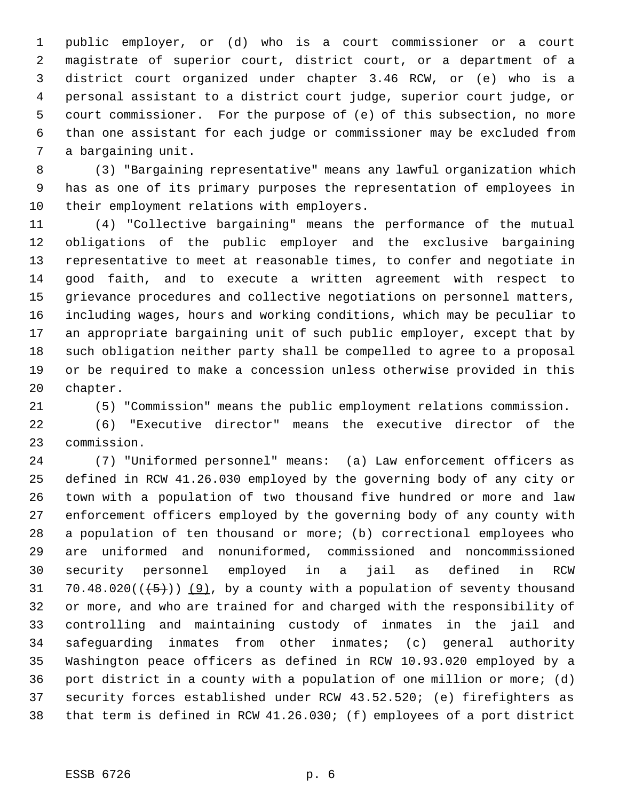public employer, or (d) who is a court commissioner or a court magistrate of superior court, district court, or a department of a district court organized under chapter 3.46 RCW, or (e) who is a personal assistant to a district court judge, superior court judge, or court commissioner. For the purpose of (e) of this subsection, no more than one assistant for each judge or commissioner may be excluded from a bargaining unit.

 (3) "Bargaining representative" means any lawful organization which has as one of its primary purposes the representation of employees in their employment relations with employers.

 (4) "Collective bargaining" means the performance of the mutual obligations of the public employer and the exclusive bargaining representative to meet at reasonable times, to confer and negotiate in good faith, and to execute a written agreement with respect to grievance procedures and collective negotiations on personnel matters, including wages, hours and working conditions, which may be peculiar to an appropriate bargaining unit of such public employer, except that by such obligation neither party shall be compelled to agree to a proposal or be required to make a concession unless otherwise provided in this chapter.

(5) "Commission" means the public employment relations commission.

 (6) "Executive director" means the executive director of the commission.

 (7) "Uniformed personnel" means: (a) Law enforcement officers as defined in RCW 41.26.030 employed by the governing body of any city or town with a population of two thousand five hundred or more and law enforcement officers employed by the governing body of any county with a population of ten thousand or more; (b) correctional employees who are uniformed and nonuniformed, commissioned and noncommissioned security personnel employed in a jail as defined in RCW 31 70.48.020( $(\frac{5}{1})$ )  $(9)$ , by a county with a population of seventy thousand or more, and who are trained for and charged with the responsibility of controlling and maintaining custody of inmates in the jail and safeguarding inmates from other inmates; (c) general authority Washington peace officers as defined in RCW 10.93.020 employed by a port district in a county with a population of one million or more; (d) security forces established under RCW 43.52.520; (e) firefighters as that term is defined in RCW 41.26.030; (f) employees of a port district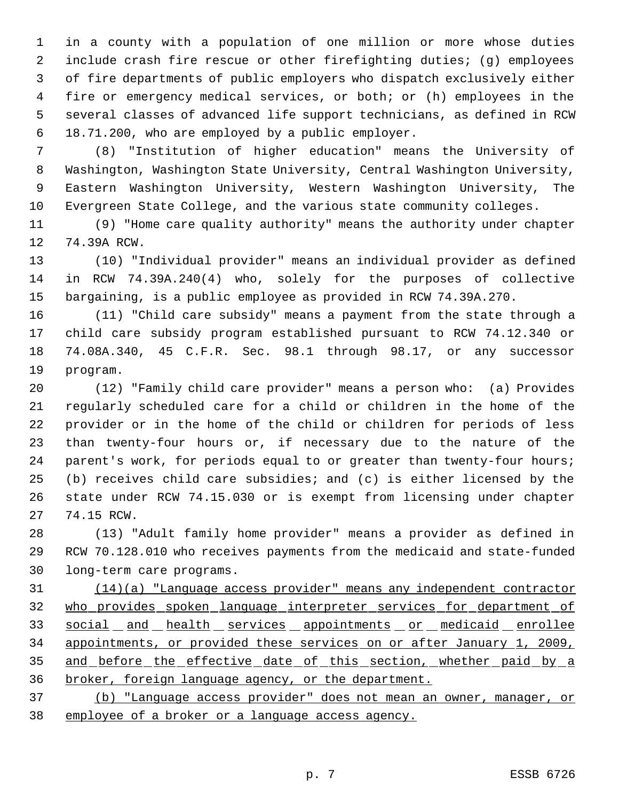in a county with a population of one million or more whose duties include crash fire rescue or other firefighting duties; (g) employees of fire departments of public employers who dispatch exclusively either fire or emergency medical services, or both; or (h) employees in the several classes of advanced life support technicians, as defined in RCW 18.71.200, who are employed by a public employer.

 (8) "Institution of higher education" means the University of Washington, Washington State University, Central Washington University, Eastern Washington University, Western Washington University, The Evergreen State College, and the various state community colleges.

 (9) "Home care quality authority" means the authority under chapter 74.39A RCW.

 (10) "Individual provider" means an individual provider as defined in RCW 74.39A.240(4) who, solely for the purposes of collective bargaining, is a public employee as provided in RCW 74.39A.270.

 (11) "Child care subsidy" means a payment from the state through a child care subsidy program established pursuant to RCW 74.12.340 or 74.08A.340, 45 C.F.R. Sec. 98.1 through 98.17, or any successor program.

 (12) "Family child care provider" means a person who: (a) Provides regularly scheduled care for a child or children in the home of the provider or in the home of the child or children for periods of less than twenty-four hours or, if necessary due to the nature of the parent's work, for periods equal to or greater than twenty-four hours; (b) receives child care subsidies; and (c) is either licensed by the state under RCW 74.15.030 or is exempt from licensing under chapter 74.15 RCW.

 (13) "Adult family home provider" means a provider as defined in RCW 70.128.010 who receives payments from the medicaid and state-funded long-term care programs.

 (14)(a) "Language access provider" means any independent contractor who provides spoken language interpreter services for department of 33 social and health services appointments or medicaid enrollee appointments, or provided these services on or after January 1, 2009, 35 and before the effective date of this section, whether paid by a broker, foreign language agency, or the department.

 (b) "Language access provider" does not mean an owner, manager, or employee of a broker or a language access agency.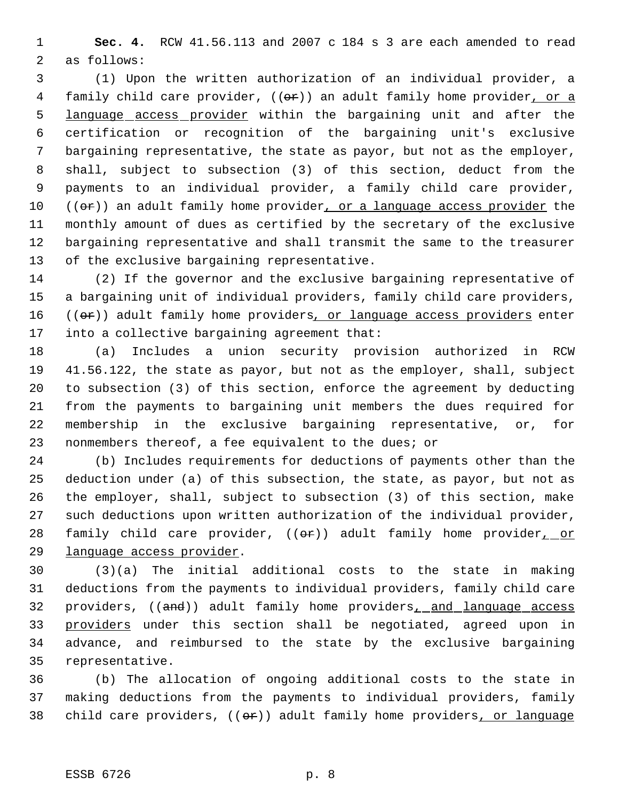**Sec. 4.** RCW 41.56.113 and 2007 c 184 s 3 are each amended to read as follows:

 (1) Upon the written authorization of an individual provider, a 4 family child care provider, ((or)) an adult family home provider, or a language access provider within the bargaining unit and after the certification or recognition of the bargaining unit's exclusive bargaining representative, the state as payor, but not as the employer, shall, subject to subsection (3) of this section, deduct from the payments to an individual provider, a family child care provider,  $((\theta \cdot \hat{r}))$  an adult family home provider, or a language access provider the monthly amount of dues as certified by the secretary of the exclusive bargaining representative and shall transmit the same to the treasurer of the exclusive bargaining representative.

 (2) If the governor and the exclusive bargaining representative of a bargaining unit of individual providers, family child care providers, 16 ((or)) adult family home providers, or language access providers enter into a collective bargaining agreement that:

 (a) Includes a union security provision authorized in RCW 41.56.122, the state as payor, but not as the employer, shall, subject to subsection (3) of this section, enforce the agreement by deducting from the payments to bargaining unit members the dues required for membership in the exclusive bargaining representative, or, for nonmembers thereof, a fee equivalent to the dues; or

 (b) Includes requirements for deductions of payments other than the deduction under (a) of this subsection, the state, as payor, but not as the employer, shall, subject to subsection (3) of this section, make such deductions upon written authorization of the individual provider, 28 family child care provider,  $((\theta \hat{r}))$  adult family home provider<sub>1\_0</sub>r language access provider.

 (3)(a) The initial additional costs to the state in making deductions from the payments to individual providers, family child care 32 providers, ((and)) adult family home providers, and language access 33 providers under this section shall be negotiated, agreed upon in advance, and reimbursed to the state by the exclusive bargaining representative.

 (b) The allocation of ongoing additional costs to the state in making deductions from the payments to individual providers, family 38 child care providers,  $((\theta \cdot \hat{r}))$  adult family home providers, or language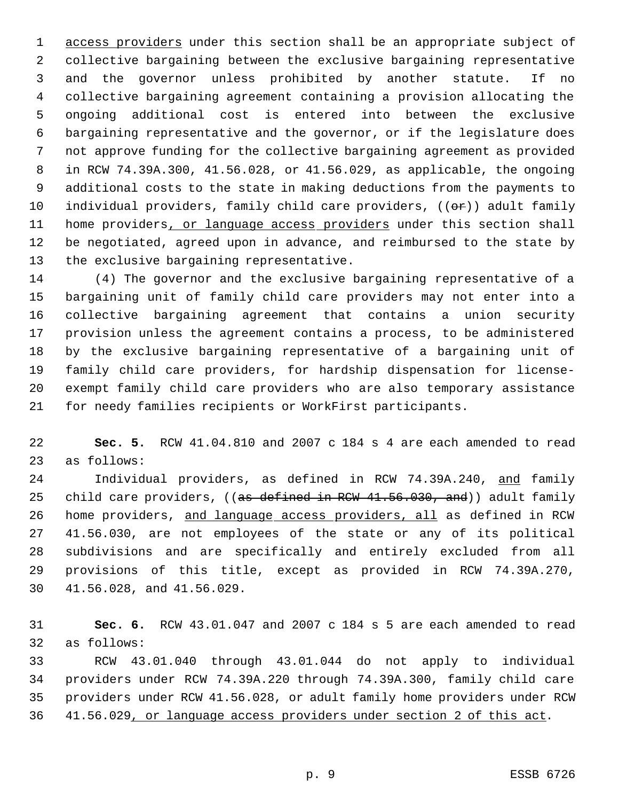1 access providers under this section shall be an appropriate subject of collective bargaining between the exclusive bargaining representative and the governor unless prohibited by another statute. If no collective bargaining agreement containing a provision allocating the ongoing additional cost is entered into between the exclusive bargaining representative and the governor, or if the legislature does not approve funding for the collective bargaining agreement as provided in RCW 74.39A.300, 41.56.028, or 41.56.029, as applicable, the ongoing additional costs to the state in making deductions from the payments to 10 individual providers, family child care providers,  $((\theta \hat{r}))$  adult family 11 home providers, or language access providers under this section shall be negotiated, agreed upon in advance, and reimbursed to the state by the exclusive bargaining representative.

 (4) The governor and the exclusive bargaining representative of a bargaining unit of family child care providers may not enter into a collective bargaining agreement that contains a union security provision unless the agreement contains a process, to be administered by the exclusive bargaining representative of a bargaining unit of family child care providers, for hardship dispensation for license- exempt family child care providers who are also temporary assistance for needy families recipients or WorkFirst participants.

 **Sec. 5.** RCW 41.04.810 and 2007 c 184 s 4 are each amended to read as follows:

 Individual providers, as defined in RCW 74.39A.240, and family 25 child care providers, ((as defined in RCW 41.56.030, and)) adult family home providers, and language access providers, all as defined in RCW 41.56.030, are not employees of the state or any of its political subdivisions and are specifically and entirely excluded from all provisions of this title, except as provided in RCW 74.39A.270, 41.56.028, and 41.56.029.

 **Sec. 6.** RCW 43.01.047 and 2007 c 184 s 5 are each amended to read as follows:

 RCW 43.01.040 through 43.01.044 do not apply to individual providers under RCW 74.39A.220 through 74.39A.300, family child care providers under RCW 41.56.028, or adult family home providers under RCW 41.56.029, or language access providers under section 2 of this act.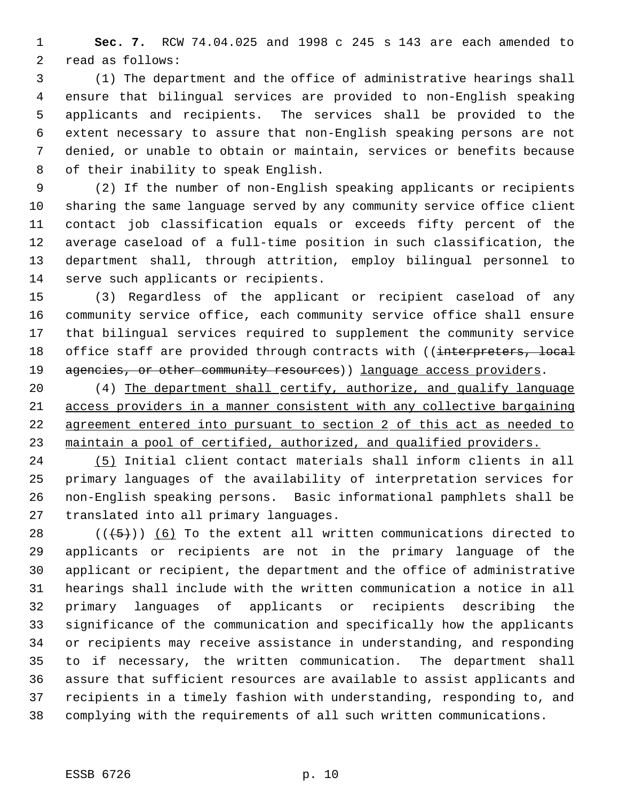**Sec. 7.** RCW 74.04.025 and 1998 c 245 s 143 are each amended to read as follows:

 (1) The department and the office of administrative hearings shall ensure that bilingual services are provided to non-English speaking applicants and recipients. The services shall be provided to the extent necessary to assure that non-English speaking persons are not denied, or unable to obtain or maintain, services or benefits because of their inability to speak English.

 (2) If the number of non-English speaking applicants or recipients sharing the same language served by any community service office client contact job classification equals or exceeds fifty percent of the average caseload of a full-time position in such classification, the department shall, through attrition, employ bilingual personnel to serve such applicants or recipients.

 (3) Regardless of the applicant or recipient caseload of any community service office, each community service office shall ensure that bilingual services required to supplement the community service 18 office staff are provided through contracts with ((interpreters, local 19 agencies, or other community resources) ) language access providers.

 (4) The department shall certify, authorize, and qualify language access providers in a manner consistent with any collective bargaining agreement entered into pursuant to section 2 of this act as needed to 23 maintain a pool of certified, authorized, and qualified providers.

 (5) Initial client contact materials shall inform clients in all primary languages of the availability of interpretation services for non-English speaking persons. Basic informational pamphlets shall be translated into all primary languages.

 $((+5))$  (6) To the extent all written communications directed to applicants or recipients are not in the primary language of the applicant or recipient, the department and the office of administrative hearings shall include with the written communication a notice in all primary languages of applicants or recipients describing the significance of the communication and specifically how the applicants or recipients may receive assistance in understanding, and responding to if necessary, the written communication. The department shall assure that sufficient resources are available to assist applicants and recipients in a timely fashion with understanding, responding to, and complying with the requirements of all such written communications.